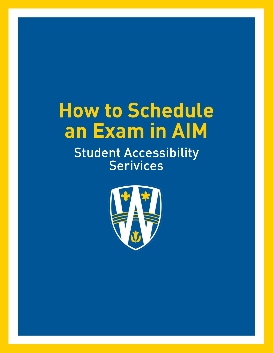# How to Schedule an Exam in AIM

Student Accessibility Serivices

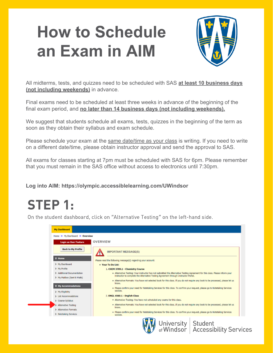## **How to Schedule an Exam in AIM**



All midterms, tests, and quizzes need to be scheduled with SAS **at least 10 business days (not including weekends)** in advance.

Final exams need to be scheduled at least three weeks in advance of the beginning of the final exam period, and **no later than 14 business days (not including weekends).**

We suggest that students schedule all exams, tests, quizzes in the beginning of the term as soon as they obtain their syllabus and exam schedule.

Please schedule your exam at the same date/time as your class is writing. If you need to write on a different date/time, please obtain instructor approval and send the approval to SAS.

All exams for classes starting at 7pm must be scheduled with SAS for 6pm. Please remember that you must remain in the SAS office without access to electronics until 7:30pm.

**Log into AIM[: https://olympic.accessiblelearning.com/UWind](https://olympic.accessiblelearning.com/UWindsor)sor**

#### STEP 1:

On the student dashboard, click on "Alternative Testing" on the left-hand side.

| <b>Login as User Feature</b> | <b>OVERVIEW</b>                                                                                                                                                                                                      |  |  |
|------------------------------|----------------------------------------------------------------------------------------------------------------------------------------------------------------------------------------------------------------------|--|--|
| <b>Back to My Profile</b>    | <b>IMPORTANT MESSAGE(S)</b>                                                                                                                                                                                          |  |  |
| <b>&amp; Home</b>            | Please read the following message(s) regarding your account:                                                                                                                                                         |  |  |
| > My Dashboard               | . Your To Do List:                                                                                                                                                                                                   |  |  |
| > My Profile                 | 1. CHEM 3789.1 - Chemistry Course                                                                                                                                                                                    |  |  |
| > Additional Documentation   | . Alternative Testing: Your instructor has not submitted the Alternative Testing Agreement for this class. Please inform your<br>instructor to complete the Alternative Testing Agreement through Instructor Portal. |  |  |
| > My Mallbox (Sent E-Malls)  |                                                                                                                                                                                                                      |  |  |
|                              | . Alternative Formats: You have not selected book for this class. If you do not require any book to be processed, please let us<br>know.                                                                             |  |  |
| ₹ My Accommodations          | . Please confirm your need for Notetaking Services for this class. To confirm your request, please go to Notetaking Services                                                                                         |  |  |
| > My Eligibility             | section.                                                                                                                                                                                                             |  |  |
| > List Accommodations        | 2. ENGL 4560.1 - English Class                                                                                                                                                                                       |  |  |
| > Course Syllabus            | . Alternative Testing: You have not scheduled any exams for this class.                                                                                                                                              |  |  |
| > Alternative Testing        | - Alternative Formats: You have not selected book for this class. If you do not require any book to be processed, please let us                                                                                      |  |  |
| > Alternative Formats        | know.                                                                                                                                                                                                                |  |  |
| > Notetaking Services        | . Please confirm your need for Notetaking Services for this class. To confirm your request, please go to Notetaking Services<br>section.                                                                             |  |  |
|                              | University   Student<br>of Windsor   Accessibility Services                                                                                                                                                          |  |  |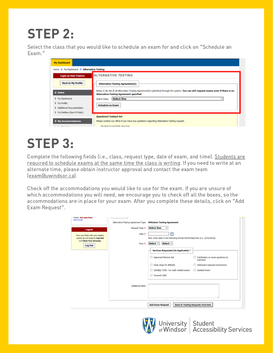### STEP 2:

Select the class that you would like to schedule an exam for and click on "Schedule an Exam."



### STEP 3:

Complete the following fields (i.e., class, request type, date of exam, and time). Students are required to schedule exams at the same time the class is writing. If you need to write at an alternate time, please obtain instructor approval and contact the exam team ([exam@uwindsor.ca\)](mailto:exam@uwindsor.ca).

Check off the accommodations you would like to use for the exam. If you are unsure of which accommodations you will need, we encourage you to check off all the boxes, so the accommodations are in place for your exam. After you complete these details, click on "Add Exam Request".

| <b>Imone: Not Specified</b><br>Send Email                  |                                                                |                                                                                 |                                                       |  |
|------------------------------------------------------------|----------------------------------------------------------------|---------------------------------------------------------------------------------|-------------------------------------------------------|--|
|                                                            | Alternative Testing Agreement Type: UWindsor Testing Agreement |                                                                                 |                                                       |  |
| Logout                                                     | Request Type *:                                                | <b>Select One</b><br>v                                                          |                                                       |  |
| Once you finish with your session,                         | Date *:                                                        | 霝<br>Hint: Enter date in the following format Month/Day/Year (i.e. 12/31/2010). |                                                       |  |
| please do not forget to Log Out<br>and Close Your Browser. |                                                                |                                                                                 |                                                       |  |
| Log Out                                                    | Time *:                                                        | Select $\vee$<br>Select $\vee$                                                  |                                                       |  |
|                                                            |                                                                | Services Requested (As Applicable) *                                            |                                                       |  |
|                                                            |                                                                | Approved Memory Aid                                                             | Clarification on exam questions by<br>u<br>instructor |  |
|                                                            |                                                                | Clock stops for BREAKS                                                          | Distraction-reduced environment                       |  |
|                                                            |                                                                | DOUBLE TIME - for math related exams                                            | Solated Room                                          |  |
|                                                            |                                                                | Kurzweil 1000                                                                   |                                                       |  |
|                                                            |                                                                |                                                                                 |                                                       |  |
|                                                            | <b>Additional Note:</b>                                        |                                                                                 |                                                       |  |
|                                                            |                                                                |                                                                                 |                                                       |  |
|                                                            |                                                                |                                                                                 |                                                       |  |
|                                                            |                                                                | <b>Add Exam Request</b>                                                         | <b>Back to Testing Requests Overview</b>              |  |